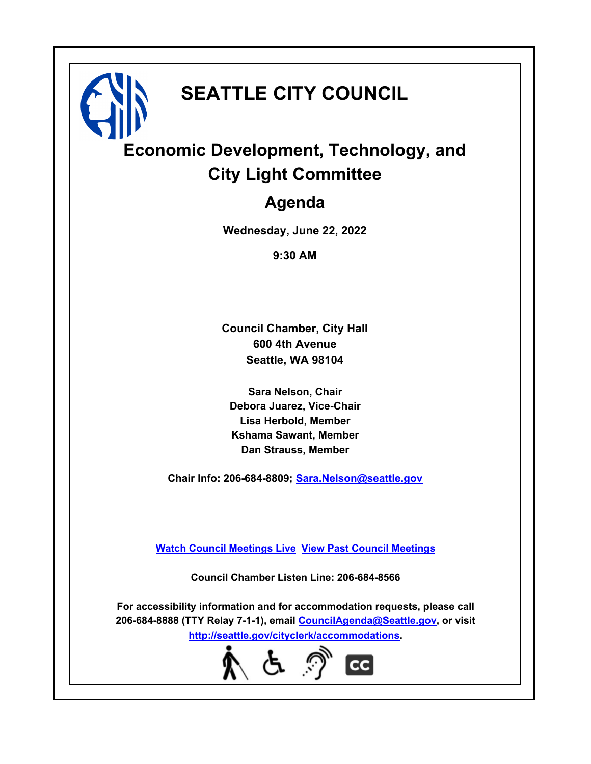# **SEATTLE CITY COUNCIL**

# **Economic Development, Technology, and City Light Committee**

## **Agenda**

**Wednesday, June 22, 2022**

**9:30 AM**

**Council Chamber, City Hall 600 4th Avenue Seattle, WA 98104**

**Sara Nelson, Chair Debora Juarez, Vice-Chair Lisa Herbold, Member Kshama Sawant, Member Dan Strauss, Member**

**Chair Info: 206-684-8809; [Sara.Nelson@seattle.gov](mailto: Sara.Nelson@seattle.gov)**

**[Watch Council Meetings Live](http://www.seattle.gov/council/councillive.htm) [View Past Council Meetings](http://www.seattlechannel.org/videos/browseVideos.asp?topic=council)**

**Council Chamber Listen Line: 206-684-8566**

**For accessibility information and for accommodation requests, please call 206-684-8888 (TTY Relay 7-1-1), email [CouncilAgenda@Seattle.gov](mailto: CouncilAgenda@Seattle.gov), or visit <http://seattle.gov/cityclerk/accommodations>.**

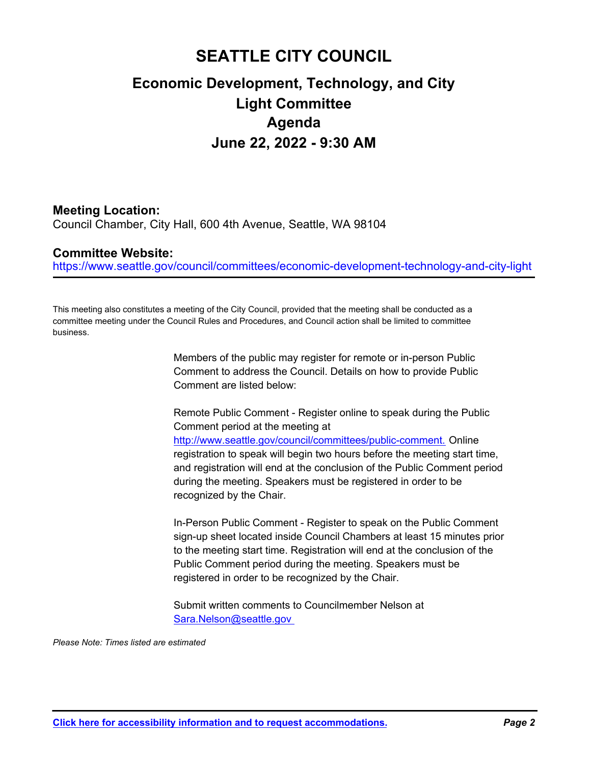### **SEATTLE CITY COUNCIL**

### **Economic Development, Technology, and City Light Committee Agenda June 22, 2022 - 9:30 AM**

#### **Meeting Location:**

Council Chamber, City Hall, 600 4th Avenue, Seattle, WA 98104

#### **Committee Website:**

https://www.seattle.gov/council/committees/economic-development-technology-and-city-light

This meeting also constitutes a meeting of the City Council, provided that the meeting shall be conducted as a committee meeting under the Council Rules and Procedures, and Council action shall be limited to committee business.

> Members of the public may register for remote or in-person Public Comment to address the Council. Details on how to provide Public Comment are listed below:

Remote Public Comment - Register online to speak during the Public Comment period at the meeting at http://www.seattle.gov/council/committees/public-comment. Online registration to speak will begin two hours before the meeting start time, and registration will end at the conclusion of the Public Comment period during the meeting. Speakers must be registered in order to be recognized by the Chair.

In-Person Public Comment - Register to speak on the Public Comment sign-up sheet located inside Council Chambers at least 15 minutes prior to the meeting start time. Registration will end at the conclusion of the Public Comment period during the meeting. Speakers must be registered in order to be recognized by the Chair.

Submit written comments to Councilmember Nelson at Sara.Nelson@seattle.gov

*Please Note: Times listed are estimated*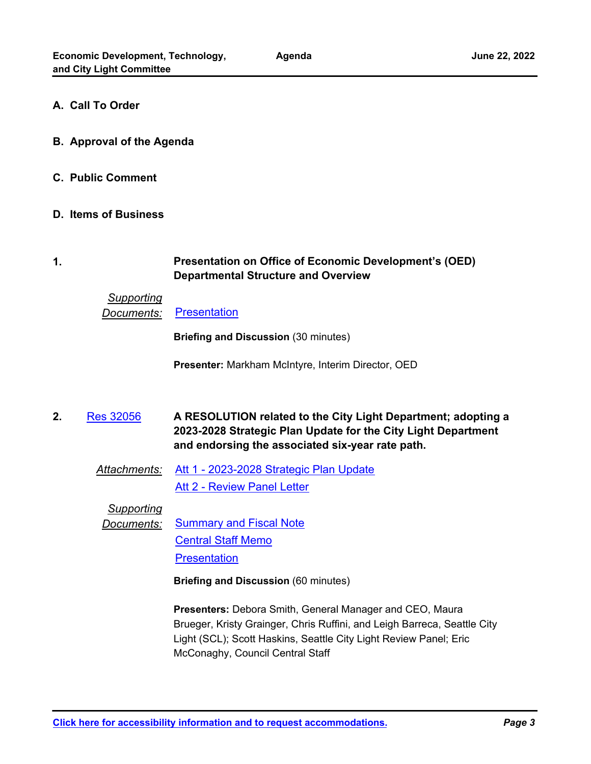#### **A. Call To Order**

- **B. Approval of the Agenda**
- **C. Public Comment**
- **D. Items of Business**

#### **Presentation on Office of Economic Development's (OED) Departmental Structure and Overview 1.**

#### *Supporting*

**Documents:** [Presentation](http://seattle.legistar.com/gateway.aspx?M=F&ID=c6a34c86-baf9-45c7-8b9e-2108b86405bb.pdf)

**Briefing and Discussion** (30 minutes)

**Presenter:** Markham McIntyre, Interim Director, OED

**A RESOLUTION related to the City Light Department; adopting a 2023-2028 Strategic Plan Update for the City Light Department and endorsing the associated six-year rate path. 2.** [Res 32056](http://seattle.legistar.com/gateway.aspx?m=l&id=/matter.aspx?key=12964)

*Attachments:* [Att 1 - 2023-2028 Strategic Plan Update](http://seattle.legistar.com/gateway.aspx?M=F&ID=7ac8974f-9bc0-4024-9eab-dfc271e99d0b.pdf) **[Att 2 - Review Panel Letter](http://seattle.legistar.com/gateway.aspx?M=F&ID=7eacd717-26e0-442d-a4bc-ebb48dba81b6.docx)** 

*Supporting*

**Documents:** [Summary and Fiscal Note](http://seattle.legistar.com/gateway.aspx?M=F&ID=05395814-c61b-41c2-9447-a46f3b8758b6.docx) [Central Staff Memo](http://seattle.legistar.com/gateway.aspx?M=F&ID=17e915f4-afbe-4dd9-aa12-d3b22c726d20.pdf) **[Presentation](http://seattle.legistar.com/gateway.aspx?M=F&ID=045a2e98-de08-44f6-933e-303ec1c5ab61.pdf)** 

**Briefing and Discussion** (60 minutes)

**Presenters:** Debora Smith, General Manager and CEO, Maura Brueger, Kristy Grainger, Chris Ruffini, and Leigh Barreca, Seattle City Light (SCL); Scott Haskins, Seattle City Light Review Panel; Eric McConaghy, Council Central Staff